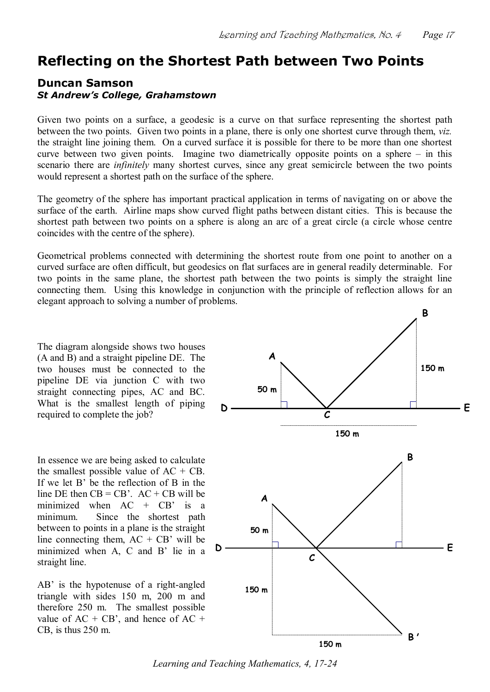## **Reflecting on the Shortest Path between Two Points**

## **Duncan Samson** *St Andrew's College, Grahamstown*

Given two points on a surface, a geodesic is a curve on that surface representing the shortest path between the two points. Given two points in a plane, there is only one shortest curve through them, *viz.* the straight line joining them. On a curved surface it is possible for there to be more than one shortest curve between two given points. Imagine two diametrically opposite points on a sphere – in this scenario there are *infinitely* many shortest curves, since any great semicircle between the two points would represent a shortest path on the surface of the sphere.

The geometry of the sphere has important practical application in terms of navigating on or above the surface of the earth. Airline maps show curved flight paths between distant cities. This is because the shortest path between two points on a sphere is along an arc of a great circle (a circle whose centre coincides with the centre of the sphere).

Geometrical problems connected with determining the shortest route from one point to another on a curved surface are often difficult, but geodesics on flat surfaces are in general readily determinable. For two points in the same plane, the shortest path between the two points is simply the straight line connecting them. Using this knowledge in conjunction with the principle of reflection allows for an elegant approach to solving a number of problems.

The diagram alongside shows two houses (A and B) and a straight pipeline DE. The two houses must be connected to the pipeline DE via junction C with two straight connecting pipes, AC and BC. What is the smallest length of piping required to complete the job?

In essence we are being asked to calculate the smallest possible value of  $AC + CB$ . If we let B' be the reflection of B in the line DE then  $CB = CB'$ .  $AC + CB$  will be minimized when  $AC + CB'$  is a minimum. Since the shortest path between to points in a plane is the straight line connecting them,  $AC + CB'$  will be<br>minimized when  $A \cap C$  and  $B'$  lie in a  $D$ minimized when A, C and B' lie in a straight line.

 $AB'$  is the hypotenuse of a right-angled triangle with sides 150 m, 200 m and therefore 250 m. The smallest possible value of  $AC + CB'$ , and hence of  $AC +$ CB, is thus 250 m.



*Learning and Teaching Mathematics, 4, 17-24*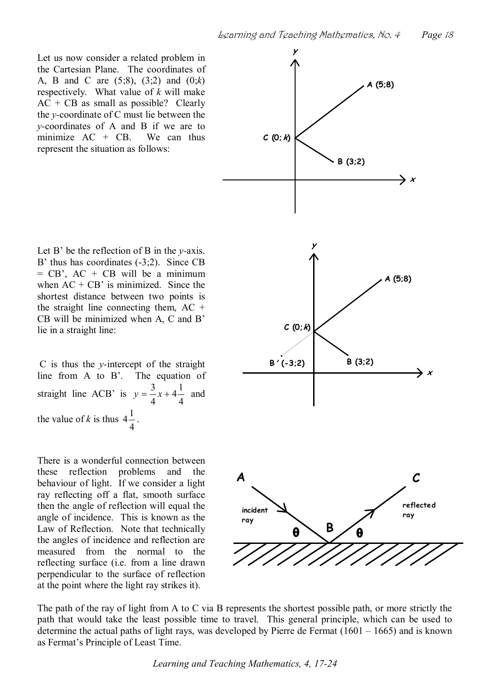Let us now consider a related problem in the Cartesian Plane. The coordinates of A, B and C are (5;8), (3;2) and (0;*k*) respectively. What value of *k* will make  $AC + CB$  as small as possible? Clearly the *y*coordinate of C must lie between the *y*-coordinates of A and B if we are to minimize  $AC + CB$ . We can thus represent the situation as follows:

Let  $B'$  be the reflection of  $B$  in the *y*-axis. B' thus has coordinates  $(-3,2)$ . Since CB  $=$  CB', AC + CB will be a minimum when  $AC + CB'$  is minimized. Since the shortest distance between two points is the straight line connecting them,  $AC +$ CB will be minimized when A, C and B' lie in a straight line:

C is thus the *y*intercept of the straight line from A to B'. The equation of straight line ACB' is  $y$ 4  $4\frac{1}{4}$  ar 4  $y = \frac{3}{x} + 4\frac{1}{y}$  and the value of  $k$  is thus 4-4  $4\frac{1}{4}$ .

There is a wonderful connection between these reflection problems and the behaviour of light. If we consider a light ray reflecting off a flat, smooth surface then the angle of reflection will equal the angle of incidence. This is known as the Law of Reflection. Note that technically the angles of incidence and reflection are measured from the normal to the reflecting surface (i.e. from a line drawn perpendicular to the surface of reflection at the point where the light ray strikes it).



The path of the ray of light from A to C via B represents the shortest possible path, or more strictly the path that would take the least possible time to travel. This general principle, which can be used to determine the actual paths of light rays, was developed by Pierre de Fermat (1601 – 1665) and is known as Fermat's Principle of Least Time.

*Learning and Teaching Mathematics, 4, 17-24*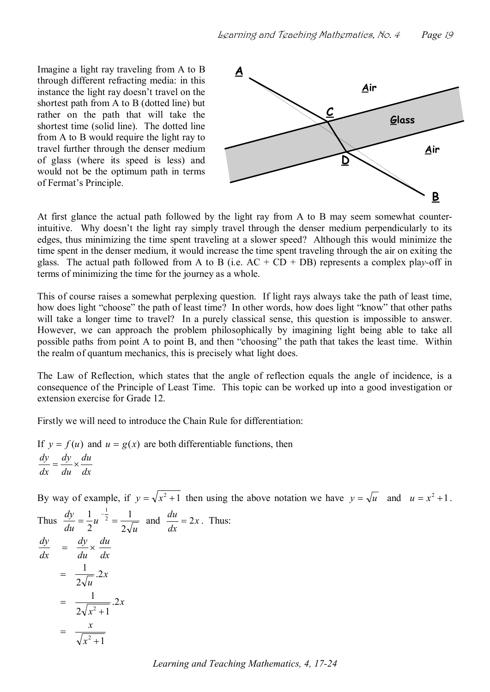Imagine a light ray traveling from A to B  $\overrightarrow{A}$ through different refracting media: in this instance the light ray doesn't travel on the shortest path from A to B (dotted line) but rather on the path that will take the shortest time (solid line). The dotted line from A to B would require the light ray to travel further through the denser medium of glass (where its speed is less) and would not be the optimum path in terms of Fermat's Principle.



At first glance the actual path followed by the light ray from A to B may seem somewhat counterintuitive. Why doesn't the light ray simply travel through the denser medium perpendicularly to its edges, thus minimizing the time spent traveling at a slower speed? Although this would minimize the time spent in the denser medium, it would increase the time spent traveling through the air on exiting the glass. The actual path followed from A to B (i.e.  $AC + CD + DB$ ) represents a complex play-off in terms of minimizing the time for the journey as a whole.

This of course raises a somewhat perplexing question. If light rays always take the path of least time, how does light "choose" the path of least time? In other words, how does light "know" that other paths will take a longer time to travel? In a purely classical sense, this question is impossible to answer. However, we can approach the problem philosophically by imagining light being able to take all possible paths from point A to point B, and then "choosing" the path that takes the least time. Within the realm of quantum mechanics, this is precisely what light does.

The Law of Reflection, which states that the angle of reflection equals the angle of incidence, is a consequence of the Principle of Least Time. This topic can be worked up into a good investigation or extension exercise for Grade 12.

Firstly we will need to introduce the Chain Rule for differentiation:

If  $y = f(u)$  and  $u = g(x)$  are both differentiable functions, then *dx du du dy dx*   $\frac{dy}{dx} = \frac{dy}{dx} \times \frac{du}{dx}$ 

By way of example, if  $y = \sqrt{x^2 + 1}$  then using the above notation we have  $y = \sqrt{u}$  and  $u = x^2 + 1$ .  $\frac{d\mathbf{v}}{d\mathbf{v}}$ 1  $\frac{1}{2}$   $\frac{1}{2}$   $\frac{1}{2}$  $\frac{du}{dt} = 2x$ . Thus:

Thus 
$$
\frac{dy}{du} = \frac{1}{2}u^{-\frac{1}{2}} = \frac{1}{2\sqrt{u}}
$$
 and  $\frac{du}{dx} = 2x$ . Thus:  
\n
$$
\frac{dy}{dx} = \frac{dy}{du} \times \frac{du}{dx}
$$
\n
$$
= \frac{1}{2\sqrt{u}}.2x
$$
\n
$$
= \frac{1}{2\sqrt{x^2 + 1}}.2x
$$
\n
$$
= \frac{x}{\sqrt{x^2 + 1}}
$$

*Learning and Teaching Mathematics, 4, 17-24*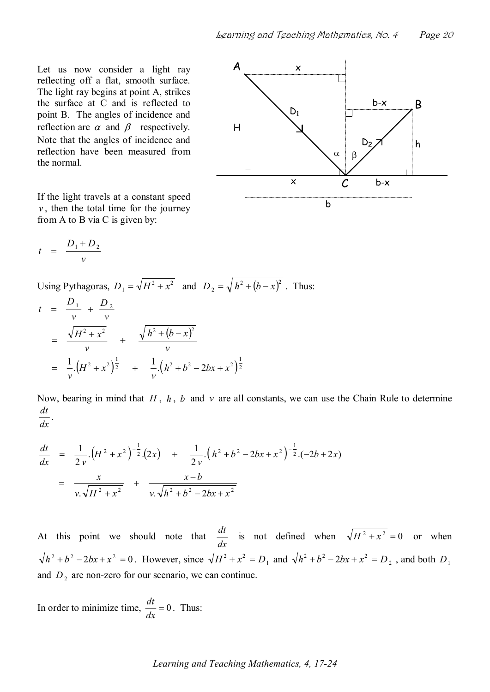Let us now consider a light ray  $A$ reflecting off a flat, smooth surface. The light ray begins at point A, strikes the surface at C and is reflected to point B. The angles of incidence and reflection are  $\alpha$  and  $\beta$  respectively. Note that the angles of incidence and reflection have been measured from the normal.

If the light travels at a constant speed  $v$ , then the total time for the journey from A to B via C is given by:

x b-x B D <sup>1</sup> H D <sup>2</sup> h a b x b-x C b

$$
t = \frac{D_1 + D_2}{v}
$$

Using Pythagoras,  $D_1 = \sqrt{H^2 + x^2}$  and  $D_2 = \sqrt{h^2 + (b - x)^2}$ . Thus:

$$
t = \frac{D_1}{v} + \frac{D_2}{v}
$$
  
=  $\frac{\sqrt{H^2 + x^2}}{v} + \frac{\sqrt{h^2 + (b - x)^2}}{v}$   
=  $\frac{1}{v} (H^2 + x^2)^{\frac{1}{2}} + \frac{1}{v} (h^2 + b^2 - 2bx + x^2)^{\frac{1}{2}}$ 

Now, bearing in mind that *H* , *h* , *b* and *v* are all constants, we can use the Chain Rule to determine *dt* .

$$
dx
$$

$$
\frac{dt}{dx} = \frac{1}{2v} \left( H^2 + x^2 \right)^{-\frac{1}{2}} (2x) + \frac{1}{2v} \left( h^2 + b^2 - 2bx + x^2 \right)^{-\frac{1}{2}} (-2b + 2x)
$$
\n
$$
= \frac{x}{v \sqrt{H^2 + x^2}} + \frac{x - b}{v \sqrt{h^2 + b^2 - 2bx + x^2}}
$$

At this point we should note that *dx*   $\frac{dt}{dt}$  is not defined when  $\sqrt{H^2 + x^2} = 0$  or when  $h^2 + b^2 - 2bx + x^2 = 0$ . However, since  $\sqrt{H^2 + x^2} = D_1$  and  $\sqrt{h^2 + b^2} - 2bx + x^2 = D_2$ , and both  $D_1$ and  $D_2$  are non-zero for our scenario, we can continue.

In order to minimize time,  $\frac{di}{1} = 0$ . T *dx*   $\frac{dt}{dt} = 0$ . Thus: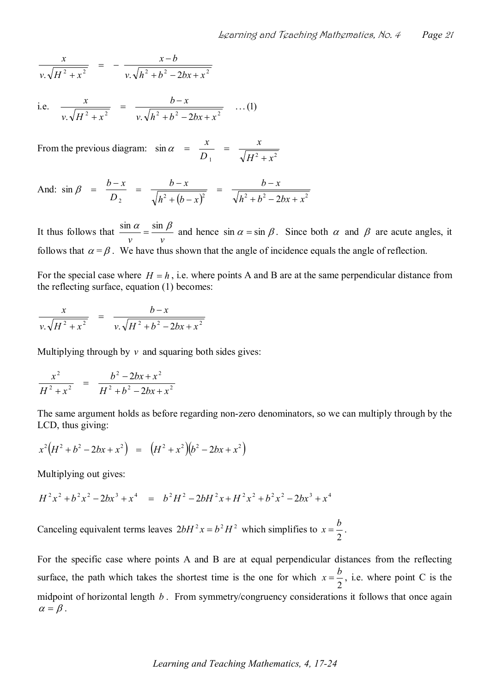$$
\frac{x}{v.\sqrt{H^2+x^2}} = -\frac{x-b}{v.\sqrt{h^2+b^2-2bx+x^2}}
$$

i.e. 
$$
\frac{x}{v \cdot \sqrt{H^2 + x^2}} = \frac{b - x}{v \cdot \sqrt{h^2 + b^2 - 2bx + x^2}} \dots (1)
$$

From the previous diagram:  $\sin \alpha = \frac{x}{D_1} = \frac{x}{\sqrt{H^2 + x^2}}$  $\sin \alpha$  $H^2 + x^2$ *x*   $D_{\perp}$  $\alpha = \frac{x}{D_1} = \frac{x}{\sqrt{H^2 + x^2}}$ 

And: 
$$
\sin \beta = \frac{b-x}{D_2} = \frac{b-x}{\sqrt{h^2 + (b-x)^2}} = \frac{b-x}{\sqrt{h^2 + b^2 - 2bx + x^2}}
$$

It thus follows that  $\frac{3}{x}$ *v v*   $\frac{\sin \alpha}{\cos \beta} = \frac{\sin \beta}{\cos \beta}$  and hence  $\sin \alpha = \sin \beta$ . Since both  $\alpha$  and  $\beta$  are acute angles, it follows that  $\alpha = \beta$ . We have thus shown that the angle of incidence equals the angle of reflection.

For the special case where  $H = h$ , i.e. where points A and B are at the same perpendicular distance from the reflecting surface, equation (1) becomes:

$$
\frac{x}{v.\sqrt{H^2 + x^2}} = \frac{b-x}{v.\sqrt{H^2 + b^2 - 2bx + x^2}}
$$

Multiplying through by  $\nu$  and squaring both sides gives:

$$
\frac{x^2}{H^2 + x^2} = \frac{b^2 - 2bx + x^2}{H^2 + b^2 - 2bx + x^2}
$$

The same argument holds as before regarding non-zero denominators, so we can multiply through by the LCD, thus giving:

$$
x^2\big(H^2+b^2-2bx+x^2\big) = \big(H^2+x^2\big)\big(b^2-2bx+x^2\big)
$$

Multiplying out gives:

$$
H^2x^2 + b^2x^2 - 2bx^3 + x^4 = b^2H^2 - 2bH^2x + H^2x^2 + b^2x^2 - 2bx^3 + x^4
$$

Canceling equivalent terms leaves  $2bH^2x = b^2H^2$  which simplifies to x 2  $x = \frac{b}{2}$ .

For the specific case where points A and B are at equal perpendicular distances from the reflecting surface, the path which takes the shortest time is the one for which  $x$  $2^{\prime}$  $x = \frac{b}{2}$ , i.e. where point C is the midpoint of horizontal length *b* . From symmetry/congruency considerations it follows that once again  $\alpha = \beta$ .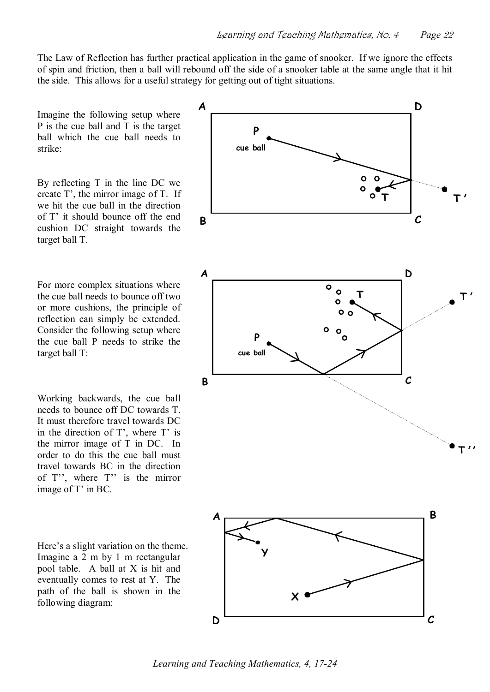The Law of Reflection has further practical application in the game of snooker. If we ignore the effects of spin and friction, then a ball will rebound off the side of a snooker table at the same angle that it hit the side. This allows for a useful strategy for getting out of tight situations.

Imagine the following setup where P is the cue ball and T is the target ball which the cue ball needs to strike:

By reflecting T in the line DC we create T', the mirror image of T. If we hit the cue ball in the direction of T' it should bounce off the end cushion DC straight towards the target ball T.

For more complex situations where the cue ball needs to bounce off two or more cushions, the principle of reflection can simply be extended. Consider the following setup where the cue ball P needs to strike the target ball T:

Working backwards, the cue ball needs to bounce off DC towards T. It must therefore travel towards DC in the direction of T', where T' is the mirror image of T in DC. In order to do this the cue ball must travel towards BC in the direction of T", where T" is the mirror image of T' in BC.

Here's a slight variation on the theme. Imagine a 2 m by 1 m rectangular pool table. A ball at X is hit and eventually comes to rest at Y. The path of the ball is shown in the following diagram:



*Learning and Teaching Mathematics, 4, 17-24*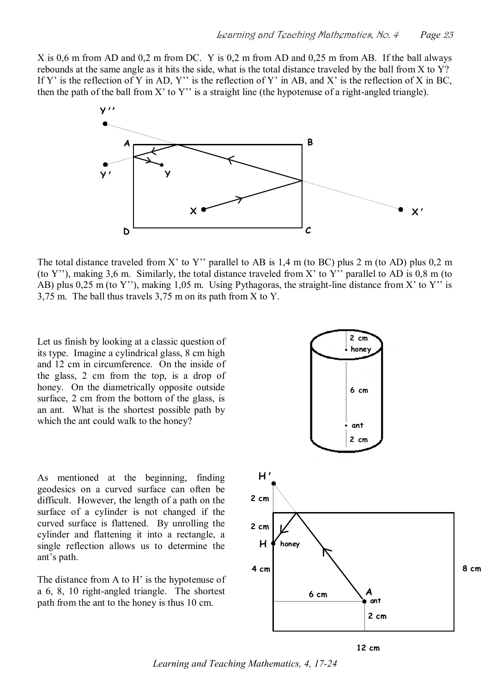X is 0,6 m from AD and 0,2 m from DC. Y is 0,2 m from AD and 0,25 m from AB. If the ball always rebounds at the same angle as it hits the side, what is the total distance traveled by the ball from X to Y? If Y' is the reflection of Y in AD, Y'' is the reflection of Y' in AB, and X' is the reflection of X in BC, then the path of the ball from X' to Y'' is a straight line (the hypotenuse of a right-angled triangle).



The total distance traveled from X' to Y'' parallel to AB is 1,4 m (to BC) plus 2 m (to AD) plus 0,2 m (to Y''), making 3,6 m. Similarly, the total distance traveled from X' to Y'' parallel to AD is 0,8 m (to AB) plus 0,25 m (to Y''), making 1,05 m. Using Pythagoras, the straight-line distance from X' to Y'' is 3,75 m. The ball thus travels 3,75 m on its path from X to Y.

Let us finish by looking at a classic question of its type. Imagine a cylindrical glass, 8 cm high and 12 cm in circumference. On the inside of the glass, 2 cm from the top, is a drop of honey. On the diametrically opposite outside surface, 2 cm from the bottom of the glass, is an ant. What is the shortest possible path by which the ant could walk to the honey?



As mentioned at the beginning, finding geodesics on a curved surface can often be difficult. However, the length of a path on the surface of a cylinder is not changed if the curved surface is flattened. By unrolling the cylinder and flattening it into a rectangle, a single reflection allows us to determine the ant's path.

The distance from A to H' is the hypotenuse of a  $6, 8, 10$  right-angled triangle. The shortest path from the ant to the honey is thus 10 cm.



**12 cm** 

*Learning and Teaching Mathematics, 4, 17-24*